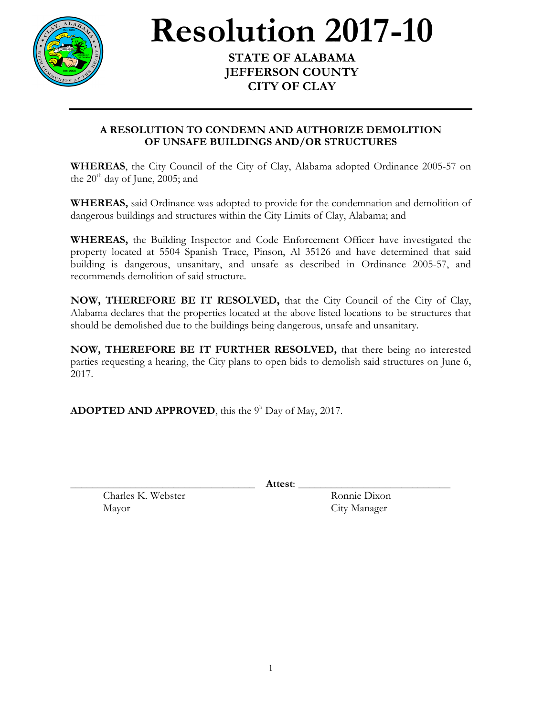

## **Resolution 2017-10 STATE OF ALABAMA**

## **JEFFERSON COUNTY CITY OF CLAY**

## **A RESOLUTION TO CONDEMN AND AUTHORIZE DEMOLITION OF UNSAFE BUILDINGS AND/OR STRUCTURES**

**WHEREAS**, the City Council of the City of Clay, Alabama adopted Ordinance 2005-57 on the  $20<sup>th</sup>$  day of June, 2005; and

**WHEREAS,** said Ordinance was adopted to provide for the condemnation and demolition of dangerous buildings and structures within the City Limits of Clay, Alabama; and

**WHEREAS,** the Building Inspector and Code Enforcement Officer have investigated the property located at 5504 Spanish Trace, Pinson, Al 35126 and have determined that said building is dangerous, unsanitary, and unsafe as described in Ordinance 2005-57, and recommends demolition of said structure.

**NOW, THEREFORE BE IT RESOLVED,** that the City Council of the City of Clay, Alabama declares that the properties located at the above listed locations to be structures that should be demolished due to the buildings being dangerous, unsafe and unsanitary.

**NOW, THEREFORE BE IT FURTHER RESOLVED,** that there being no interested parties requesting a hearing, the City plans to open bids to demolish said structures on June 6, 2017.

**ADOPTED AND APPROVED**, this the  $9<sup>h</sup>$  Day of May, 2017.

\_\_\_\_\_\_\_\_\_\_\_\_\_\_\_\_\_\_\_\_\_\_\_\_\_\_\_\_\_\_\_\_\_\_ **Attest**: \_\_\_\_\_\_\_\_\_\_\_\_\_\_\_\_\_\_\_\_\_\_\_\_\_\_\_\_

Charles K. Webster Ronnie Dixon Mayor City Manager